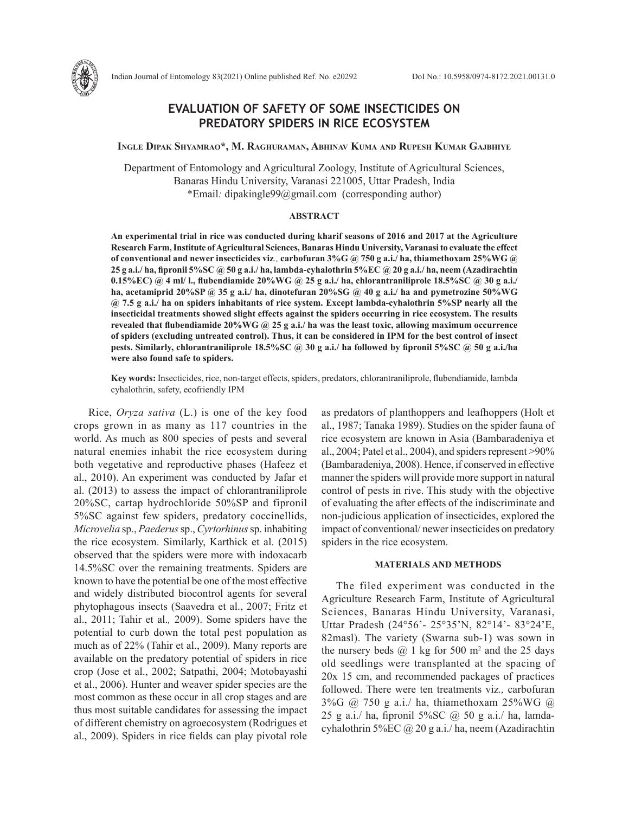# **EVALUATION OF SAFETY OF SOME INSECTICIDES ON PREDATORY SPIDERS IN RICE ECOSYSTEM**

### **Ingle Dipak Shyamrao\*, M. Raghuraman, Abhinav Kuma and Rupesh Kumar Gajbhiye**

Department of Entomology and Agricultural Zoology, Institute of Agricultural Sciences, Banaras Hindu University, Varanasi 221005, Uttar Pradesh, India \*Email*:* dipakingle99@gmail.com (corresponding author)

## **ABSTRACT**

**An experimental trial in rice was conducted during kharif seasons of 2016 and 2017 at the Agriculture Research Farm, Institute of Agricultural Sciences, Banaras Hindu University, Varanasi to evaluate the effect of conventional and newer insecticides viz***.,* **carbofuran 3%G @ 750 g a.i./ ha, thiamethoxam 25%WG @ 25 g a.i./ ha, fipronil 5%SC @ 50 g a.i./ ha, lambda-cyhalothrin 5%EC @ 20 g a.i./ ha, neem (Azadirachtin 0.15%EC) @ 4 ml/ l., flubendiamide 20%WG @ 25 g a.i./ ha, chlorantraniliprole 18.5%SC @ 30 g a.i./ ha, acetamiprid 20%SP @ 35 g a.i./ ha, dinotefuran 20%SG @ 40 g a.i./ ha and pymetrozine 50%WG @ 7.5 g a.i./ ha on spiders inhabitants of rice system. Except lambda-cyhalothrin 5%SP nearly all the insecticidal treatments showed slight effects against the spiders occurring in rice ecosystem. The results revealed that flubendiamide 20%WG @ 25 g a.i./ ha was the least toxic, allowing maximum occurrence of spiders (excluding untreated control). Thus, it can be considered in IPM for the best control of insect pests. Similarly, chlorantraniliprole 18.5%SC @ 30 g a.i./ ha followed by fipronil 5%SC @ 50 g a.i./ha were also found safe to spiders.** 

**Key words:** Insecticides, rice, non-target effects, spiders, predators, chlorantraniliprole, flubendiamide, lambda cyhalothrin, safety, ecofriendly IPM

Rice, *Oryza sativa* (L.) is one of the key food crops grown in as many as 117 countries in the world. As much as 800 species of pests and several natural enemies inhabit the rice ecosystem during both vegetative and reproductive phases (Hafeez et al., 2010). An experiment was conducted by Jafar et al. (2013) to assess the impact of chlorantraniliprole 20%SC, cartap hydrochloride 50%SP and fipronil 5%SC against few spiders, predatory coccinellids, *Microvelia* sp., *Paederus* sp., *Cyrtorhinus* sp. inhabiting the rice ecosystem. Similarly, Karthick et al. (2015) observed that the spiders were more with indoxacarb 14.5%SC over the remaining treatments. Spiders are known to have the potential be one of the most effective and widely distributed biocontrol agents for several phytophagous insects (Saavedra et al., 2007; Fritz et al., 2011; Tahir et al.*,* 2009). Some spiders have the potential to curb down the total pest population as much as of 22% (Tahir et al., 2009). Many reports are available on the predatory potential of spiders in rice crop (Jose et al., 2002; Satpathi, 2004; Motobayashi et al., 2006). Hunter and weaver spider species are the most common as these occur in all crop stages and are thus most suitable candidates for assessing the impact of different chemistry on agroecosystem (Rodrigues et al., 2009). Spiders in rice fields can play pivotal role as predators of planthoppers and leafhoppers (Holt et al., 1987; Tanaka 1989). Studies on the spider fauna of rice ecosystem are known in Asia (Bambaradeniya et al., 2004; Patel et al., 2004), and spiders represent >90% (Bambaradeniya, 2008). Hence, if conserved in effective manner the spiders will provide more support in natural control of pests in rive. This study with the objective of evaluating the after effects of the indiscriminate and non-judicious application of insecticides, explored the impact of conventional/ newer insecticides on predatory spiders in the rice ecosystem.

# **MATERIALS AND METHODS**

The filed experiment was conducted in the Agriculture Research Farm, Institute of Agricultural Sciences, Banaras Hindu University, Varanasi, Uttar Pradesh (24°56'- 25°35'N, 82°14'- 83°24'E, 82masl). The variety (Swarna sub-1) was sown in the nursery beds  $\omega$  1 kg for 500 m<sup>2</sup> and the 25 days old seedlings were transplanted at the spacing of 20x 15 cm, and recommended packages of practices followed. There were ten treatments viz*.,* carbofuran 3%G @ 750 g a.i./ ha, thiamethoxam 25%WG @ 25 g a.i./ ha, fipronil  $5\%$ SC  $\omega$  50 g a.i./ ha, lamdacyhalothrin 5%EC @ 20 g a.i./ ha, neem (Azadirachtin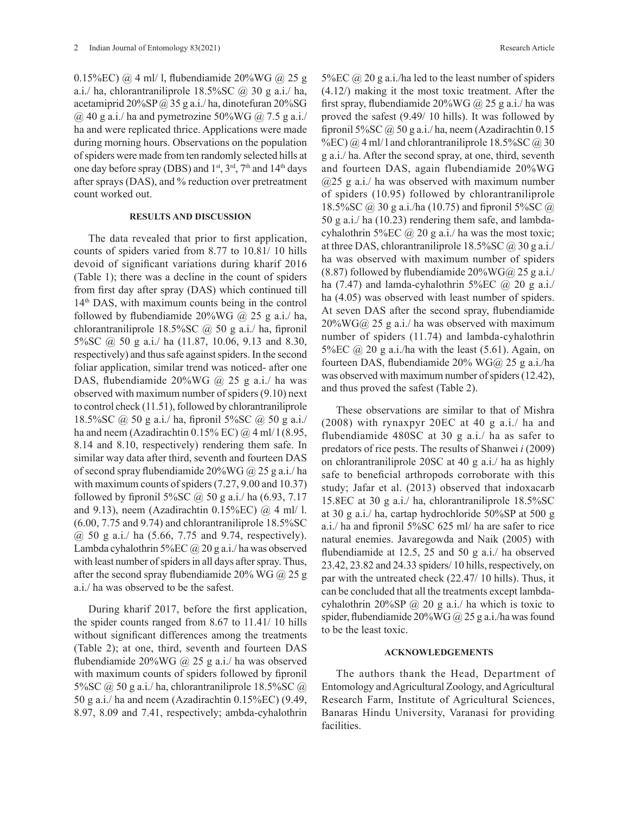0.15%EC) @ 4 ml/ l, flubendiamide 20%WG @ 25 g a.i./ ha, chlorantraniliprole  $18.5\%$ SC  $\omega$  30 g a.i./ ha, acetamiprid  $20\%SP$  @ 35 g a.i./ ha, dinotefuran  $20\%SG$  $\omega$  40 g a.i./ ha and pymetrozine 50%WG  $\omega$  7.5 g a.i./ ha and were replicated thrice. Applications were made during morning hours. Observations on the population of spiders were made from ten randomly selected hills at one day before spray (DBS) and  $1<sup>st</sup>$ ,  $3<sup>rd</sup>$ ,  $7<sup>th</sup>$  and  $14<sup>th</sup>$  days after sprays (DAS), and % reduction over pretreatment count worked out.

### **RESULTS AND DISCUSSION**

The data revealed that prior to first application, counts of spiders varied from 8.77 to 10.81/ 10 hills devoid of significant variations during kharif 2016 (Table 1); there was a decline in the count of spiders from first day after spray (DAS) which continued till 14th DAS, with maximum counts being in the control followed by flubendiamide  $20\%$ WG @ 25 g a.i./ ha, chlorantraniliprole 18.5%SC  $\omega$  50 g a.i./ ha, fipronil 5%SC @ 50 g a.i./ ha (11.87, 10.06, 9.13 and 8.30, respectively) and thus safe against spiders. In the second foliar application, similar trend was noticed- after one DAS, flubendiamide 20%WG @ 25 g a.i./ ha was observed with maximum number of spiders (9.10) next to control check (11.51), followed by chlorantraniliprole 18.5%SC @ 50 g a.i./ ha, fipronil 5%SC @ 50 g a.i./ ha and neem (Azadirachtin  $0.15\%$  EC)  $\omega$  4 ml/ l (8.95, 8.14 and 8.10, respectively) rendering them safe. In similar way data after third, seventh and fourteen DAS of second spray flubendiamide  $20\%$ WG @ 25 g a.i./ ha with maximum counts of spiders (7.27, 9.00 and 10.37) followed by fipronil 5%SC  $\omega$  50 g a.i./ ha (6.93, 7.17) and 9.13), neem (Azadirachtin 0.15%EC) @ 4 ml/ l. (6.00, 7.75 and 9.74) and chlorantraniliprole 18.5%SC @ 50 g a.i./ ha (5.66, 7.75 and 9.74, respectively). Lambda cyhalothrin 5%EC  $\omega$  20 g a.i./ ha was observed with least number of spiders in all days after spray. Thus, after the second spray flubendiamide 20% WG  $\omega$  25 g a.i./ ha was observed to be the safest.

During kharif 2017, before the first application, the spider counts ranged from 8.67 to 11.41/ 10 hills without significant differences among the treatments (Table 2); at one, third, seventh and fourteen DAS flubendiamide 20%WG  $\omega$  25 g a.i./ ha was observed with maximum counts of spiders followed by fipronil 5%SC @ 50 g a.i./ ha, chlorantraniliprole 18.5%SC @ 50 g a.i./ ha and neem (Azadirachtin 0.15%EC) (9.49, 8.97, 8.09 and 7.41, respectively; ambda-cyhalothrin 5%EC  $@$  20 g a.i./ha led to the least number of spiders (4.12/) making it the most toxic treatment. After the first spray, flubendiamide  $20\%$ WG  $\omega$  25 g a.i./ ha was proved the safest (9.49/ 10 hills). It was followed by fipronil 5%SC  $\omega$  50 g a.i./ ha, neem (Azadirachtin 0.15 %EC)  $\omega$  4 ml/ l and chlorantraniliprole 18.5%SC  $\omega$  30 g a.i./ ha. After the second spray, at one, third, seventh and fourteen DAS, again flubendiamide 20%WG  $(a)$ 25 g a.i./ ha was observed with maximum number of spiders (10.95) followed by chlorantraniliprole 18.5%SC @ 30 g a.i./ha (10.75) and fipronil 5%SC @ 50 g a.i./ ha (10.23) rendering them safe, and lambdacyhalothrin 5%EC  $\omega$  20 g a.i./ ha was the most toxic; at three DAS, chlorantraniliprole  $18.5\%$ SC @ 30 g a.i./ ha was observed with maximum number of spiders (8.87) followed by flubendiamide  $20\%$ WG $\omega$  25 g a.i./ ha (7.47) and lamda-cyhalothrin 5%EC  $\omega$  20 g a.i./ ha (4.05) was observed with least number of spiders. At seven DAS after the second spray, flubendiamide  $20\%$ WG@ 25 g a.i./ ha was observed with maximum number of spiders (11.74) and lambda-cyhalothrin 5%EC  $\omega$  20 g a.i./ha with the least (5.61). Again, on fourteen DAS, flubendiamide 20% WG@ 25 g a.i./ha was observed with maximum number of spiders (12.42), and thus proved the safest (Table 2).

These observations are similar to that of Mishra (2008) with rynaxpyr 20EC at 40 g a.i./ ha and flubendiamide 480SC at 30 g a.i./ ha as safer to predators of rice pests. The results of Shanwei *i* (2009) on chlorantraniliprole 20SC at 40 g a.i./ ha as highly safe to beneficial arthropods corroborate with this study; Jafar et al. (2013) observed that indoxacarb 15.8EC at 30 g a.i./ ha, chlorantraniliprole 18.5%SC at 30 g a.i./ ha, cartap hydrochloride 50%SP at 500 g a.i./ ha and fipronil 5%SC 625 ml/ ha are safer to rice natural enemies. Javaregowda and Naik (2005) with flubendiamide at 12.5, 25 and 50 g a.i./ ha observed 23.42, 23.82 and 24.33 spiders/ 10 hills, respectively, on par with the untreated check (22.47/ 10 hills). Thus, it can be concluded that all the treatments except lambdacyhalothrin 20%SP  $\omega$  20 g a.i./ ha which is toxic to spider, flubendiamide  $20\%$ WG  $\omega$  25 g a.i./ha was found to be the least toxic.

#### **ACKNOWLEDGEMENTS**

The authors thank the Head, Department of Entomology and Agricultural Zoology, and Agricultural Research Farm, Institute of Agricultural Sciences, Banaras Hindu University, Varanasi for providing facilities.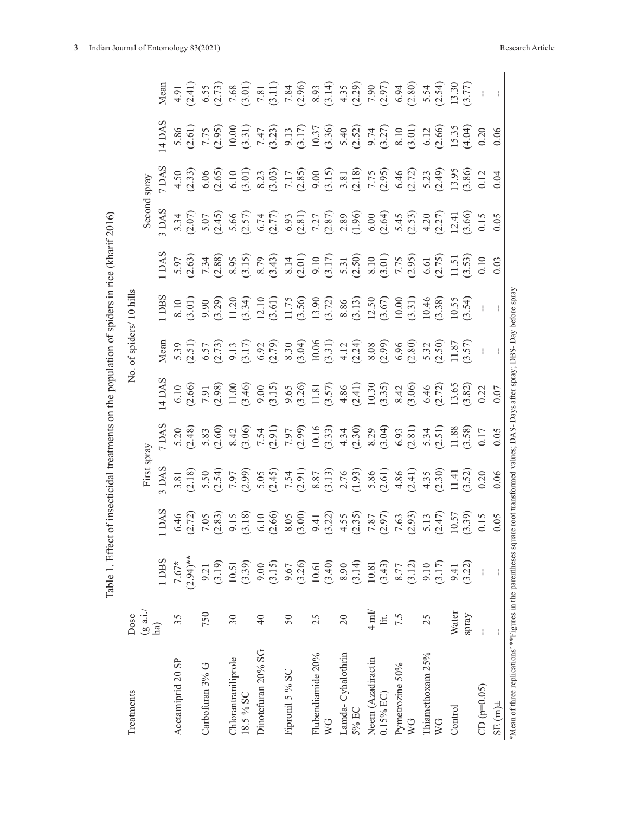|                                                                                                                                        |                               | Table 1. Effect of insecticidal treatments on the population of spiders in rice (kharif 2016) |                                                                                                                                                                                                                                                                                                     |    |                                                                                                                                                                                                                                                                                                                                                                                                                                                                |                     |                                                                                                                                                                                                                                                                        |        |       |       |                                                                                                                                                                                                                                                                                                        |
|----------------------------------------------------------------------------------------------------------------------------------------|-------------------------------|-----------------------------------------------------------------------------------------------|-----------------------------------------------------------------------------------------------------------------------------------------------------------------------------------------------------------------------------------------------------------------------------------------------------|----|----------------------------------------------------------------------------------------------------------------------------------------------------------------------------------------------------------------------------------------------------------------------------------------------------------------------------------------------------------------------------------------------------------------------------------------------------------------|---------------------|------------------------------------------------------------------------------------------------------------------------------------------------------------------------------------------------------------------------------------------------------------------------|--------|-------|-------|--------------------------------------------------------------------------------------------------------------------------------------------------------------------------------------------------------------------------------------------------------------------------------------------------------|
| Treatments                                                                                                                             | Dose                          |                                                                                               |                                                                                                                                                                                                                                                                                                     | Σ. |                                                                                                                                                                                                                                                                                                                                                                                                                                                                | of spiders/10 hills |                                                                                                                                                                                                                                                                        |        |       |       |                                                                                                                                                                                                                                                                                                        |
|                                                                                                                                        | $(g \nabla \cdot \mathbf{i})$ |                                                                                               | First spray                                                                                                                                                                                                                                                                                         |    |                                                                                                                                                                                                                                                                                                                                                                                                                                                                |                     |                                                                                                                                                                                                                                                                        | Second | spray |       |                                                                                                                                                                                                                                                                                                        |
|                                                                                                                                        | ha)                           | 1 DBS                                                                                         |                                                                                                                                                                                                                                                                                                     |    | Mean                                                                                                                                                                                                                                                                                                                                                                                                                                                           | <b>DBS</b>          | <b>DAS</b>                                                                                                                                                                                                                                                             | DAS    |       | 4 DAS |                                                                                                                                                                                                                                                                                                        |
| Acetamiprid 20 SP                                                                                                                      | 35                            | $(2.94)$ **<br>7.67*                                                                          |                                                                                                                                                                                                                                                                                                     |    |                                                                                                                                                                                                                                                                                                                                                                                                                                                                |                     |                                                                                                                                                                                                                                                                        |        |       |       |                                                                                                                                                                                                                                                                                                        |
|                                                                                                                                        |                               |                                                                                               |                                                                                                                                                                                                                                                                                                     |    |                                                                                                                                                                                                                                                                                                                                                                                                                                                                |                     |                                                                                                                                                                                                                                                                        |        |       |       |                                                                                                                                                                                                                                                                                                        |
| Carbofuran 3% G                                                                                                                        | 750                           | (3.19)<br>9.21                                                                                | $\begin{array}{l} 31.80 \\ 31.81 \\ 32.93 \\ 33.95 \\ 34.97 \\ 35.99 \\ 36.99 \\ 37.99 \\ 38.99 \\ 39.99 \\ 30.99 \\ 31.99 \\ 32.99 \\ 33.99 \\ 34.99 \\ 35.99 \\ 36.90 \\ 37.90 \\ 38.90 \\ 39.90 \\ 39.90 \\ 39.90 \\ 39.90 \\ 39.90 \\ 39.90 \\ 39.90 \\ 39.90 \\ 39.90 \\ 39.90 \\ 39.90 \\ 39$ |    | $\begin{array}{l} \mathfrak{D}, \mathfrak{D}, \mathfrak{D}, \mathfrak{D}, \mathfrak{D}, \mathfrak{D}, \mathfrak{D}, \mathfrak{D}, \mathfrak{D}, \mathfrak{D}, \mathfrak{D}, \mathfrak{D}, \mathfrak{D}, \mathfrak{D}, \mathfrak{D}, \mathfrak{D}, \mathfrak{D}, \mathfrak{D}, \mathfrak{D}, \mathfrak{D}, \mathfrak{D}, \mathfrak{D}, \mathfrak{D}, \mathfrak{D}, \mathfrak{D}, \mathfrak{D}, \mathfrak{D}, \mathfrak{D}, \mathfrak{D}, \mathfrak{D}, \mathfr$ |                     | $\begin{array}{l} 5,63\\ 6,63\\ 7,64\\ 8,85\\ 9,95\\ 10,95\\ 10,95\\ 10,95\\ 10,95\\ 10,95\\ 10,95\\ 10,95\\ 10,95\\ 10,95\\ 10,95\\ 10,95\\ 10,95\\ 10,95\\ 10,95\\ 10,95\\ 10,95\\ 10,95\\ 10,95\\ 10,95\\ 10,95\\ 10,95\\ 10,95\\ 10,95\\ 10,95\\ 10,95\\ 10,95\\ $ |        |       |       | $\begin{array}{l} 1.91 & 0.5 \\ 1.4 & 0.5 \\ 1.5 & 0.5 \\ 1.5 & 0.5 \\ 1.5 & 0.5 \\ 1.5 & 0.5 \\ 1.5 & 0.5 \\ 1.5 & 0.5 \\ 1.5 & 0.5 \\ 1.5 & 0.5 \\ 1.5 & 0.5 \\ 1.5 & 0.5 \\ 1.5 & 0.5 \\ 1.5 & 0.5 \\ 1.5 & 0.5 \\ 1.5 & 0.5 \\ 1.5 & 0.5 \\ 1.5 & 0.5 \\ 1.5 & 0.5 \\ 1.5 & 0.5 \\ 1.5 & 0.5 \\ 1$ |
| Chlorantraniliprole                                                                                                                    | $30\,$                        | 10.51                                                                                         |                                                                                                                                                                                                                                                                                                     |    |                                                                                                                                                                                                                                                                                                                                                                                                                                                                |                     |                                                                                                                                                                                                                                                                        |        |       |       |                                                                                                                                                                                                                                                                                                        |
| 18.5% SC                                                                                                                               |                               | (3.39)                                                                                        |                                                                                                                                                                                                                                                                                                     |    |                                                                                                                                                                                                                                                                                                                                                                                                                                                                |                     |                                                                                                                                                                                                                                                                        |        |       |       |                                                                                                                                                                                                                                                                                                        |
| Dinotefuran 20% SG                                                                                                                     | $\overline{4}$                | 9.00                                                                                          |                                                                                                                                                                                                                                                                                                     |    |                                                                                                                                                                                                                                                                                                                                                                                                                                                                |                     |                                                                                                                                                                                                                                                                        |        |       |       |                                                                                                                                                                                                                                                                                                        |
|                                                                                                                                        |                               | (3.15)                                                                                        |                                                                                                                                                                                                                                                                                                     |    |                                                                                                                                                                                                                                                                                                                                                                                                                                                                |                     |                                                                                                                                                                                                                                                                        |        |       |       |                                                                                                                                                                                                                                                                                                        |
| Fipronil 5 % SC                                                                                                                        | $50\,$                        | 9.67                                                                                          |                                                                                                                                                                                                                                                                                                     |    |                                                                                                                                                                                                                                                                                                                                                                                                                                                                |                     |                                                                                                                                                                                                                                                                        |        |       |       |                                                                                                                                                                                                                                                                                                        |
|                                                                                                                                        |                               | (3.26)                                                                                        |                                                                                                                                                                                                                                                                                                     |    |                                                                                                                                                                                                                                                                                                                                                                                                                                                                |                     |                                                                                                                                                                                                                                                                        |        |       |       |                                                                                                                                                                                                                                                                                                        |
| Flubendiamide 20%                                                                                                                      | 25                            | 10.61                                                                                         |                                                                                                                                                                                                                                                                                                     |    |                                                                                                                                                                                                                                                                                                                                                                                                                                                                |                     |                                                                                                                                                                                                                                                                        |        |       |       |                                                                                                                                                                                                                                                                                                        |
| WG                                                                                                                                     |                               | (3.40)                                                                                        |                                                                                                                                                                                                                                                                                                     |    |                                                                                                                                                                                                                                                                                                                                                                                                                                                                |                     |                                                                                                                                                                                                                                                                        |        |       |       |                                                                                                                                                                                                                                                                                                        |
| Lamda-Cyhalothrin                                                                                                                      | $\overline{20}$               |                                                                                               |                                                                                                                                                                                                                                                                                                     |    |                                                                                                                                                                                                                                                                                                                                                                                                                                                                |                     |                                                                                                                                                                                                                                                                        |        |       |       |                                                                                                                                                                                                                                                                                                        |
| 5% EC                                                                                                                                  |                               | $8.90$<br>(3.14)                                                                              |                                                                                                                                                                                                                                                                                                     |    |                                                                                                                                                                                                                                                                                                                                                                                                                                                                |                     |                                                                                                                                                                                                                                                                        |        |       |       |                                                                                                                                                                                                                                                                                                        |
| Neem (Azadiractin                                                                                                                      | $4 \text{ ml}$                |                                                                                               |                                                                                                                                                                                                                                                                                                     |    |                                                                                                                                                                                                                                                                                                                                                                                                                                                                |                     |                                                                                                                                                                                                                                                                        |        |       |       |                                                                                                                                                                                                                                                                                                        |
| $0.15\%$ EC)                                                                                                                           | lit.                          | $10.81$<br>$(3.43)$                                                                           |                                                                                                                                                                                                                                                                                                     |    |                                                                                                                                                                                                                                                                                                                                                                                                                                                                |                     |                                                                                                                                                                                                                                                                        |        |       |       |                                                                                                                                                                                                                                                                                                        |
| Pymetrozine 50%                                                                                                                        | 7.5                           | 8.77                                                                                          |                                                                                                                                                                                                                                                                                                     |    |                                                                                                                                                                                                                                                                                                                                                                                                                                                                |                     |                                                                                                                                                                                                                                                                        |        |       |       |                                                                                                                                                                                                                                                                                                        |
| WG                                                                                                                                     |                               | (3.12)                                                                                        |                                                                                                                                                                                                                                                                                                     |    |                                                                                                                                                                                                                                                                                                                                                                                                                                                                |                     |                                                                                                                                                                                                                                                                        |        |       |       |                                                                                                                                                                                                                                                                                                        |
| Thiamethoxam 25%                                                                                                                       | 25                            | 9.10                                                                                          |                                                                                                                                                                                                                                                                                                     |    |                                                                                                                                                                                                                                                                                                                                                                                                                                                                |                     |                                                                                                                                                                                                                                                                        |        |       |       |                                                                                                                                                                                                                                                                                                        |
| WG                                                                                                                                     |                               | (3.17)                                                                                        |                                                                                                                                                                                                                                                                                                     |    |                                                                                                                                                                                                                                                                                                                                                                                                                                                                |                     |                                                                                                                                                                                                                                                                        |        |       |       |                                                                                                                                                                                                                                                                                                        |
| Control                                                                                                                                | Water                         | 9.41                                                                                          |                                                                                                                                                                                                                                                                                                     |    |                                                                                                                                                                                                                                                                                                                                                                                                                                                                |                     |                                                                                                                                                                                                                                                                        |        |       |       |                                                                                                                                                                                                                                                                                                        |
|                                                                                                                                        | spray                         | (3.22)                                                                                        |                                                                                                                                                                                                                                                                                                     |    |                                                                                                                                                                                                                                                                                                                                                                                                                                                                |                     |                                                                                                                                                                                                                                                                        |        |       |       |                                                                                                                                                                                                                                                                                                        |
| $CD (p=0.05)$                                                                                                                          | ł                             | $\overline{1}$                                                                                |                                                                                                                                                                                                                                                                                                     |    |                                                                                                                                                                                                                                                                                                                                                                                                                                                                |                     |                                                                                                                                                                                                                                                                        |        |       |       |                                                                                                                                                                                                                                                                                                        |
| $\pm$ m $\pm$                                                                                                                          |                               | ł                                                                                             |                                                                                                                                                                                                                                                                                                     |    |                                                                                                                                                                                                                                                                                                                                                                                                                                                                |                     |                                                                                                                                                                                                                                                                        |        |       |       |                                                                                                                                                                                                                                                                                                        |
| *Mean of three replications' **Figures in the parentheses square root transformed values; DAS- Days after spray; DBS- Day before spray |                               |                                                                                               |                                                                                                                                                                                                                                                                                                     |    |                                                                                                                                                                                                                                                                                                                                                                                                                                                                |                     |                                                                                                                                                                                                                                                                        |        |       |       |                                                                                                                                                                                                                                                                                                        |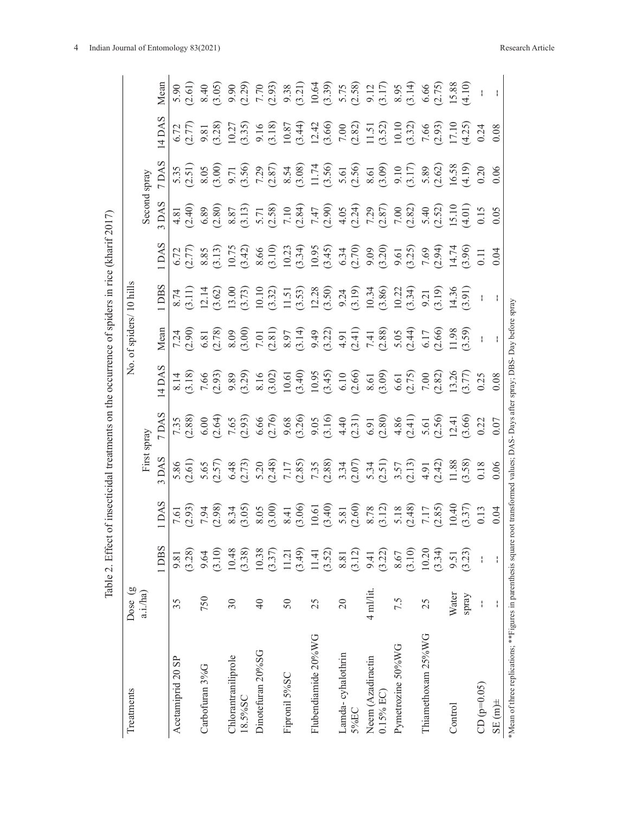|                                                                                                                            |                          |                   |      |                                                                                                                                                                                                                                                                            |       | Table 2. Effect of insecticidal treatments on the occurrence of spiders in rice (kharif 2017)                                                                                                                                                                                                          |                     |                                                                                                                                                                                                                                                                                                                                                                                                                                                               |                                                                                                                                                                                                                                                                                                                                                                                                                             |                                                                                                                                                                                                                                                                                                                                                 |       |                                                                                                                                                                                                                                                                          |                                                                                                                                                                                                                                  |
|----------------------------------------------------------------------------------------------------------------------------|--------------------------|-------------------|------|----------------------------------------------------------------------------------------------------------------------------------------------------------------------------------------------------------------------------------------------------------------------------|-------|--------------------------------------------------------------------------------------------------------------------------------------------------------------------------------------------------------------------------------------------------------------------------------------------------------|---------------------|---------------------------------------------------------------------------------------------------------------------------------------------------------------------------------------------------------------------------------------------------------------------------------------------------------------------------------------------------------------------------------------------------------------------------------------------------------------|-----------------------------------------------------------------------------------------------------------------------------------------------------------------------------------------------------------------------------------------------------------------------------------------------------------------------------------------------------------------------------------------------------------------------------|-------------------------------------------------------------------------------------------------------------------------------------------------------------------------------------------------------------------------------------------------------------------------------------------------------------------------------------------------|-------|--------------------------------------------------------------------------------------------------------------------------------------------------------------------------------------------------------------------------------------------------------------------------|----------------------------------------------------------------------------------------------------------------------------------------------------------------------------------------------------------------------------------|
| Treatments                                                                                                                 | Dose (g                  |                   |      |                                                                                                                                                                                                                                                                            |       | ,<br>Ž                                                                                                                                                                                                                                                                                                 | of spiders/10 hills |                                                                                                                                                                                                                                                                                                                                                                                                                                                               |                                                                                                                                                                                                                                                                                                                                                                                                                             |                                                                                                                                                                                                                                                                                                                                                 |       |                                                                                                                                                                                                                                                                          |                                                                                                                                                                                                                                  |
|                                                                                                                            | a.i./ha)                 |                   |      | First                                                                                                                                                                                                                                                                      | spray |                                                                                                                                                                                                                                                                                                        |                     |                                                                                                                                                                                                                                                                                                                                                                                                                                                               |                                                                                                                                                                                                                                                                                                                                                                                                                             | Second                                                                                                                                                                                                                                                                                                                                          | spray |                                                                                                                                                                                                                                                                          |                                                                                                                                                                                                                                  |
|                                                                                                                            |                          | 1 DBS             | DAS  | DAS                                                                                                                                                                                                                                                                        |       |                                                                                                                                                                                                                                                                                                        | Mean                | <b>DBS</b>                                                                                                                                                                                                                                                                                                                                                                                                                                                    | <b>DAS</b>                                                                                                                                                                                                                                                                                                                                                                                                                  | DAS.                                                                                                                                                                                                                                                                                                                                            |       |                                                                                                                                                                                                                                                                          | Mean                                                                                                                                                                                                                             |
| Acetamiprid 20 SP                                                                                                          | 35                       | 9.81              |      |                                                                                                                                                                                                                                                                            |       |                                                                                                                                                                                                                                                                                                        |                     |                                                                                                                                                                                                                                                                                                                                                                                                                                                               |                                                                                                                                                                                                                                                                                                                                                                                                                             |                                                                                                                                                                                                                                                                                                                                                 |       |                                                                                                                                                                                                                                                                          |                                                                                                                                                                                                                                  |
|                                                                                                                            |                          | (3.28)            |      | 5.86                                                                                                                                                                                                                                                                       | 7.35  | $\frac{8.14}{(3.18)}$                                                                                                                                                                                                                                                                                  |                     |                                                                                                                                                                                                                                                                                                                                                                                                                                                               |                                                                                                                                                                                                                                                                                                                                                                                                                             |                                                                                                                                                                                                                                                                                                                                                 |       |                                                                                                                                                                                                                                                                          | $5.90$<br>$(2.61)$                                                                                                                                                                                                               |
| Carbofuran 3%G                                                                                                             | 750                      | 9.64              |      |                                                                                                                                                                                                                                                                            |       |                                                                                                                                                                                                                                                                                                        |                     |                                                                                                                                                                                                                                                                                                                                                                                                                                                               |                                                                                                                                                                                                                                                                                                                                                                                                                             |                                                                                                                                                                                                                                                                                                                                                 |       |                                                                                                                                                                                                                                                                          |                                                                                                                                                                                                                                  |
|                                                                                                                            |                          | $(3.10)$          |      |                                                                                                                                                                                                                                                                            |       |                                                                                                                                                                                                                                                                                                        |                     | $\begin{array}{l} \texttt{x11} \\ \texttt{x21} \\ \texttt{x32} \\ \texttt{x43} \\ \texttt{x54} \\ \texttt{x63} \\ \texttt{x74} \\ \texttt{x85} \\ \texttt{x95} \\ \texttt{x13} \\ \texttt{x14} \\ \texttt{x23} \\ \texttt{x34} \\ \texttt{x45} \\ \texttt{x55} \\ \texttt{x63} \\ \texttt{x75} \\ \texttt{x86} \\ \texttt{x95} \\ \texttt{x13} \\ \texttt{x14} \\ \texttt{x25} \\ \texttt{x36} \\ \texttt{x47} \\ \texttt{x58} \\ \texttt{x69} \\ \texttt{x7$ |                                                                                                                                                                                                                                                                                                                                                                                                                             |                                                                                                                                                                                                                                                                                                                                                 |       |                                                                                                                                                                                                                                                                          | $(4,6,6,8,0)$<br>$(6,6,6,6)$ $(7,6,6)$ $(8,6,6)$ $(9,6,6)$ $(1,6,6)$ $(1,6,6)$ $(1,6,6)$ $(1,6,6)$ $(1,6,6)$ $(1,6,6)$ $(1,6,6)$ $(1,6,6)$ $(1,6,6)$ $(1,6,6)$ $(1,6,6)$ $(1,6,6)$ $(1,6,6)$ $(1,6,6)$ $(1,6,6)$ $(1,6,6)$ $(1,$ |
| Chlorantraniliprole                                                                                                        | $30\,$                   | 10.48             |      |                                                                                                                                                                                                                                                                            |       |                                                                                                                                                                                                                                                                                                        |                     |                                                                                                                                                                                                                                                                                                                                                                                                                                                               |                                                                                                                                                                                                                                                                                                                                                                                                                             |                                                                                                                                                                                                                                                                                                                                                 |       |                                                                                                                                                                                                                                                                          |                                                                                                                                                                                                                                  |
| 18.5%SC                                                                                                                    |                          | (3.38)            |      |                                                                                                                                                                                                                                                                            |       |                                                                                                                                                                                                                                                                                                        |                     |                                                                                                                                                                                                                                                                                                                                                                                                                                                               |                                                                                                                                                                                                                                                                                                                                                                                                                             |                                                                                                                                                                                                                                                                                                                                                 |       |                                                                                                                                                                                                                                                                          |                                                                                                                                                                                                                                  |
| Dinotefuran 20%SG                                                                                                          | $\overline{4}$           | 10.38             |      |                                                                                                                                                                                                                                                                            |       |                                                                                                                                                                                                                                                                                                        |                     |                                                                                                                                                                                                                                                                                                                                                                                                                                                               |                                                                                                                                                                                                                                                                                                                                                                                                                             |                                                                                                                                                                                                                                                                                                                                                 |       |                                                                                                                                                                                                                                                                          |                                                                                                                                                                                                                                  |
|                                                                                                                            |                          | (3.37)            |      |                                                                                                                                                                                                                                                                            |       |                                                                                                                                                                                                                                                                                                        |                     |                                                                                                                                                                                                                                                                                                                                                                                                                                                               |                                                                                                                                                                                                                                                                                                                                                                                                                             |                                                                                                                                                                                                                                                                                                                                                 |       |                                                                                                                                                                                                                                                                          |                                                                                                                                                                                                                                  |
| Fipronil 5%SC                                                                                                              | 50                       | 11.21             |      |                                                                                                                                                                                                                                                                            |       |                                                                                                                                                                                                                                                                                                        |                     |                                                                                                                                                                                                                                                                                                                                                                                                                                                               |                                                                                                                                                                                                                                                                                                                                                                                                                             |                                                                                                                                                                                                                                                                                                                                                 |       |                                                                                                                                                                                                                                                                          |                                                                                                                                                                                                                                  |
|                                                                                                                            |                          | (3.49)            |      |                                                                                                                                                                                                                                                                            |       |                                                                                                                                                                                                                                                                                                        |                     |                                                                                                                                                                                                                                                                                                                                                                                                                                                               |                                                                                                                                                                                                                                                                                                                                                                                                                             |                                                                                                                                                                                                                                                                                                                                                 |       |                                                                                                                                                                                                                                                                          |                                                                                                                                                                                                                                  |
| Flubendiamide 20%WG                                                                                                        | 25                       | 11.41             |      |                                                                                                                                                                                                                                                                            |       |                                                                                                                                                                                                                                                                                                        |                     |                                                                                                                                                                                                                                                                                                                                                                                                                                                               |                                                                                                                                                                                                                                                                                                                                                                                                                             |                                                                                                                                                                                                                                                                                                                                                 |       |                                                                                                                                                                                                                                                                          |                                                                                                                                                                                                                                  |
|                                                                                                                            |                          | (3.52)            |      |                                                                                                                                                                                                                                                                            |       |                                                                                                                                                                                                                                                                                                        |                     |                                                                                                                                                                                                                                                                                                                                                                                                                                                               |                                                                                                                                                                                                                                                                                                                                                                                                                             |                                                                                                                                                                                                                                                                                                                                                 |       |                                                                                                                                                                                                                                                                          |                                                                                                                                                                                                                                  |
| Lamda-cyhalothrin                                                                                                          | $\Omega$                 | $\phantom{0}8.81$ |      |                                                                                                                                                                                                                                                                            |       |                                                                                                                                                                                                                                                                                                        |                     |                                                                                                                                                                                                                                                                                                                                                                                                                                                               |                                                                                                                                                                                                                                                                                                                                                                                                                             |                                                                                                                                                                                                                                                                                                                                                 |       |                                                                                                                                                                                                                                                                          |                                                                                                                                                                                                                                  |
| 5%EC                                                                                                                       |                          | (3.12)            |      |                                                                                                                                                                                                                                                                            |       |                                                                                                                                                                                                                                                                                                        |                     |                                                                                                                                                                                                                                                                                                                                                                                                                                                               |                                                                                                                                                                                                                                                                                                                                                                                                                             |                                                                                                                                                                                                                                                                                                                                                 |       |                                                                                                                                                                                                                                                                          |                                                                                                                                                                                                                                  |
| Neem (Azadiractin                                                                                                          | $4$ ml/lit.              | 9.41              |      |                                                                                                                                                                                                                                                                            |       |                                                                                                                                                                                                                                                                                                        |                     |                                                                                                                                                                                                                                                                                                                                                                                                                                                               |                                                                                                                                                                                                                                                                                                                                                                                                                             |                                                                                                                                                                                                                                                                                                                                                 |       |                                                                                                                                                                                                                                                                          |                                                                                                                                                                                                                                  |
| $0.15%$ EC)                                                                                                                |                          | (3.22)            |      |                                                                                                                                                                                                                                                                            |       |                                                                                                                                                                                                                                                                                                        |                     |                                                                                                                                                                                                                                                                                                                                                                                                                                                               |                                                                                                                                                                                                                                                                                                                                                                                                                             |                                                                                                                                                                                                                                                                                                                                                 |       |                                                                                                                                                                                                                                                                          |                                                                                                                                                                                                                                  |
| Pymetrozine 50%WG                                                                                                          | 7.5                      | 8.67              |      |                                                                                                                                                                                                                                                                            |       |                                                                                                                                                                                                                                                                                                        |                     |                                                                                                                                                                                                                                                                                                                                                                                                                                                               |                                                                                                                                                                                                                                                                                                                                                                                                                             |                                                                                                                                                                                                                                                                                                                                                 |       |                                                                                                                                                                                                                                                                          |                                                                                                                                                                                                                                  |
|                                                                                                                            |                          | (3.10)            |      |                                                                                                                                                                                                                                                                            |       |                                                                                                                                                                                                                                                                                                        |                     |                                                                                                                                                                                                                                                                                                                                                                                                                                                               |                                                                                                                                                                                                                                                                                                                                                                                                                             |                                                                                                                                                                                                                                                                                                                                                 |       |                                                                                                                                                                                                                                                                          |                                                                                                                                                                                                                                  |
| Thiamethoxam 25%WG                                                                                                         | 25                       | 10.20             |      |                                                                                                                                                                                                                                                                            |       |                                                                                                                                                                                                                                                                                                        |                     |                                                                                                                                                                                                                                                                                                                                                                                                                                                               |                                                                                                                                                                                                                                                                                                                                                                                                                             |                                                                                                                                                                                                                                                                                                                                                 |       |                                                                                                                                                                                                                                                                          |                                                                                                                                                                                                                                  |
|                                                                                                                            |                          | (3.34)            |      |                                                                                                                                                                                                                                                                            |       |                                                                                                                                                                                                                                                                                                        |                     |                                                                                                                                                                                                                                                                                                                                                                                                                                                               |                                                                                                                                                                                                                                                                                                                                                                                                                             |                                                                                                                                                                                                                                                                                                                                                 |       |                                                                                                                                                                                                                                                                          |                                                                                                                                                                                                                                  |
| Control                                                                                                                    | Water                    | 9.51              |      |                                                                                                                                                                                                                                                                            |       |                                                                                                                                                                                                                                                                                                        |                     |                                                                                                                                                                                                                                                                                                                                                                                                                                                               |                                                                                                                                                                                                                                                                                                                                                                                                                             |                                                                                                                                                                                                                                                                                                                                                 |       |                                                                                                                                                                                                                                                                          |                                                                                                                                                                                                                                  |
|                                                                                                                            | spray                    | (3.23)            |      |                                                                                                                                                                                                                                                                            |       |                                                                                                                                                                                                                                                                                                        |                     |                                                                                                                                                                                                                                                                                                                                                                                                                                                               |                                                                                                                                                                                                                                                                                                                                                                                                                             |                                                                                                                                                                                                                                                                                                                                                 |       |                                                                                                                                                                                                                                                                          |                                                                                                                                                                                                                                  |
| $CD (p=0.05)$                                                                                                              | $\overline{\phantom{a}}$ | $\mathfrak l$     | 0.13 | $\begin{array}{l} 6.57\\ 5.47\\ 0.47\\ 0.69\\ 0.74\\ 0.80\\ 0.90\\ 0.90\\ 0.90\\ 0.90\\ 0.90\\ 0.90\\ 0.90\\ 0.90\\ 0.90\\ 0.90\\ 0.90\\ 0.90\\ 0.90\\ 0.90\\ 0.90\\ 0.90\\ 0.90\\ 0.90\\ 0.90\\ 0.90\\ 0.90\\ 0.90\\ 0.90\\ 0.90\\ 0.90\\ 0.90\\ 0.90\\ 0.90\\ 0.90\\ 0.$ |       | $\begin{array}{l} 7.66\\[-4pt] 7.93\\[-4pt] 9.89\\[-4pt] 9.89\\[-4pt] 9.89\\[-4pt] 9.81\\[-4pt] 9.81\\[-4pt] 9.81\\[-4pt] 9.81\\[-4pt] 9.81\\[-4pt] 9.81\\[-4pt] 9.81\\[-4pt] 9.81\\[-4pt] 9.81\\[-4pt] 9.81\\[-4pt] 9.81\\[-4pt] 9.81\\[-4pt] 9.81\\[-4pt] 9.81\\[-4pt] 9.81\\[-4pt] 9.81\\[-4pt] 9.$ |                     |                                                                                                                                                                                                                                                                                                                                                                                                                                                               | $(7.5 \times 10^{-4} \times 10^{-4} \times 10^{-4} \times 10^{-4} \times 10^{-4} \times 10^{-4} \times 10^{-4} \times 10^{-4} \times 10^{-4} \times 10^{-4} \times 10^{-4} \times 10^{-4} \times 10^{-4} \times 10^{-4} \times 10^{-4} \times 10^{-4} \times 10^{-4} \times 10^{-4} \times 10^{-4} \times 10^{-4} \times 10^{-4} \times 10^{-4} \times 10^{-4} \times 10^{-4} \times 10^{-4} \times 10^{-4} \times 10^{-4}$ | $\begin{array}{l} 1.81 \oplus 0.81 \oplus 0.81 \oplus 0.81 \oplus 0.81 \oplus 0.81 \oplus 0.81 \oplus 0.81 \oplus 0.81 \oplus 0.81 \oplus 0.81 \oplus 0.81 \oplus 0.81 \oplus 0.81 \oplus 0.81 \oplus 0.81 \oplus 0.81 \oplus 0.81 \oplus 0.81 \oplus 0.81 \oplus 0.81 \oplus 0.81 \oplus 0.81 \oplus 0.81 \oplus 0.81 \oplus 0.81 \oplus 0.81$ |       | $(7, 7)$<br>$(1, 7)$<br>$(2, 3)$<br>$(3, 3)$<br>$(5, 3)$<br>$(6, 3)$<br>$(7, 7)$<br>$(8, 3)$<br>$(9, 3)$<br>$(1, 3)$<br>$(1, 3)$<br>$(1, 3)$<br>$(1, 3)$<br>$(1, 3)$<br>$(1, 3)$<br>$(1, 3)$<br>$(1, 3)$<br>$(1, 3)$<br>$(1, 3)$<br>$(1, 3)$<br>$(1, 3)$<br>$(1, 3)$<br> |                                                                                                                                                                                                                                  |
| $\sin(15)$                                                                                                                 | ł                        | ł                 | 0.04 |                                                                                                                                                                                                                                                                            |       |                                                                                                                                                                                                                                                                                                        |                     |                                                                                                                                                                                                                                                                                                                                                                                                                                                               | 0.04                                                                                                                                                                                                                                                                                                                                                                                                                        | 0.05                                                                                                                                                                                                                                                                                                                                            | 0.06  | 0.08                                                                                                                                                                                                                                                                     |                                                                                                                                                                                                                                  |
| *Mean of three replications; **Figures in parenthesis square root transformed values; DAS-Days after spray; DBS-Day before |                          |                   |      |                                                                                                                                                                                                                                                                            |       |                                                                                                                                                                                                                                                                                                        |                     | spray                                                                                                                                                                                                                                                                                                                                                                                                                                                         |                                                                                                                                                                                                                                                                                                                                                                                                                             |                                                                                                                                                                                                                                                                                                                                                 |       |                                                                                                                                                                                                                                                                          |                                                                                                                                                                                                                                  |